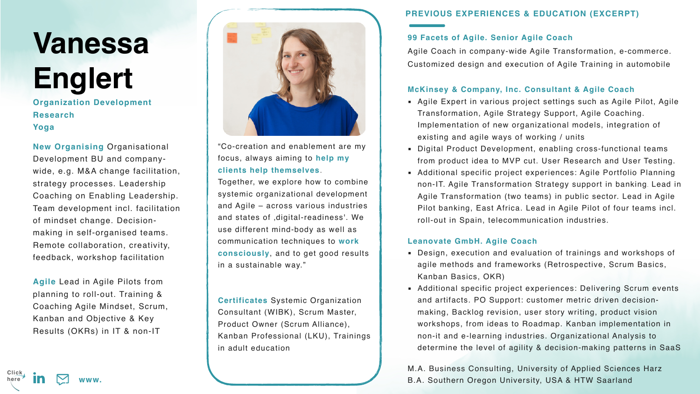## **99 Facets of Agile. Senior Agile Coach**

Agile Coach in company-wide Agile Transformation, e-commerce. Customized design and execution of Agile Training in automobile

## **McKinsey & Company, Inc. Consultant & Agile Coach**

- **EXPERT 1.5 Agile Expert in various project settings such as Agile Pilot, Agile 4.** Transformation, Agile Strategy Support, Agile Coaching. Implementation of new organizational models, integration of existing and agile ways of working / units
- **EXETHELE PREPTICE DEVELOPMENT, ENAbling cross-functional teams** from product idea to MVP cut. User Research and User Testing.
- **EXEDENT Anditional specific project experiences: Agile Portfolio Planning** non-IT. Agile Transformation Strategy support in banking. Lead in Agile Transformation (two teams) in public sector. Lead in Agile Pilot banking, East Africa. Lead in Agile Pilot of four teams incl. roll-out in Spain, telecommunication industries.

## **Leanovate GmbH. Agile Coach**

- Design, execution and evaluation of trainings and workshops of agile methods and frameworks (Retrospective, Scrum Basics, Kanban Basics, OKR)
- **EXETHERF Anditional specific project experiences: Delivering Scrum events** and artifacts. PO Support: customer metric driven decisionmaking, Backlog revision, user story writing, product vision workshops, from ideas to Roadmap. Kanban implementation in non-it and e-learning industries. Organizational Analysis to determine the level of agility & decision-making patterns in SaaS

M.A. Business Consulting, University of Applied Sciences Harz B.A. Southern Oregon University, USA & HTW Saarland









# **Vanessa Englert**

**Organization Development Research Yoga**

**New Organising** Organisational Development BU and companywide, e.g. M&A change facilitation, strategy processes. Leadership Coaching on Enabling Leadership. Team development incl. facilitation of mindset change. Decisionmaking in self-organised teams. Remote collaboration, creativity, feedback, workshop facilitation

**Agile** Lead in Agile Pilots from planning to roll-out. Training & Coaching Agile Mindset, Scrum, Kanban and Objective & Key Results (OKRs) in IT & non-IT



## **PREVIOUS EXPERIENCES & EDUCATION (EXCERPT)**

"Co-creation and enablement are my focus, always aiming to **help my clients help themselves**.

Together, we explore how to combine systemic organizational development and Agile – across various industries and states of , digital-readiness'. We use different mind-body as well as communication techniques to **work consciously**, and to get good results in a sustainable way."

**Certificates** Systemic Organization Consultant (WIBK), Scrum Master, Product Owner (Scrum Alliance), Kanban Professional (LKU), Trainings in adult education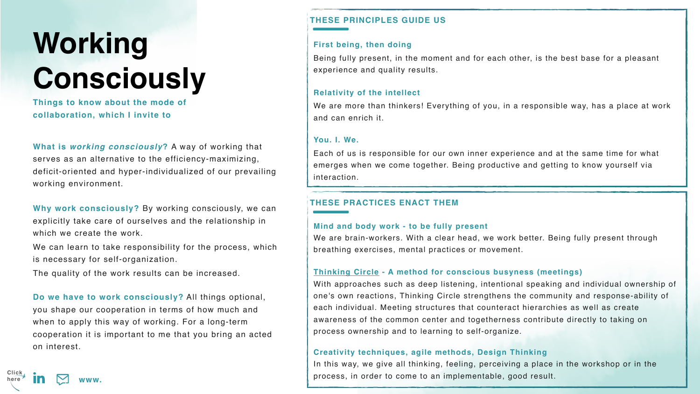## **First being, then doing**

Being fully present, in the moment and for each other, is the best base for a pleasant experience and quality results.

We are more than thinkers! Everything of you, in a responsible way, has a place at work and can enrich it.

### **Relativity of the intellect**

### **You. I. We.**

Each of us is responsible for our own inner experience and at the same time for what emerges when we come together. Being productive and getting to know yourself via interaction.

## **Working Consciously**

We can learn to take responsibility for the process, which is necessary for self-organization.

**Things to know about the mode of collaboration, which I invite to**

**What is** *working consciously***?** A way of working that serves as an alternative to the efficiency-maximizing, deficit-oriented and hyper-individualized of our prevailing working environment.

**Why work consciously?** By working consciously, we can explicitly take care of ourselves and the relationship in which we create the work.

**Creativity techniques, agile methods, Design Thinking** In this way, we give all thinking, feeling, perceiving a place in the workshop or in the **in**  $\sum$  www. **[xxx](https://www.linkedin.com/in/vanessaenglert/) xxx xxx xxx xxx xxx xxx xxx xxx xxx xxx xxx xxx xxx xxx xxx xxx xxx xxx xxx xxx xxx xxx xxx xxx xxx xxx xxx xxx xxx xxx xxx xxx xxx x** 

The quality of the work results can be increased.

**Do we have to work consciously?** All things optional, you shape our cooperation in terms of how much and when to apply this way of working. For a long-term cooperation it is important to me that you bring an acted on interest.

## **THESE PRINCIPLES GUIDE US**

## **THESE PRACTICES ENACT THEM**

**Mind and body work - to be fully present**  We are brain-workers. With a clear head, we work better. Being fully present through breathing exercises, mental practices or movement.

## **[Thinking Circle](https://www.all-in-one-spirit.de/events/seminar/2022-03-08/thinking-circle-raum-fuer-gemeinsames-denken) - A method for conscious busyness (meetings)**



With approaches such as deep listening, intentional speaking and individual ownership of one's own reactions, Thinking Circle strengthens the community and response-ability of each individual. Meeting structures that counteract hierarchies as well as create awareness of the common center and togetherness contribute directly to taking on process ownership and to learning to self-organize.